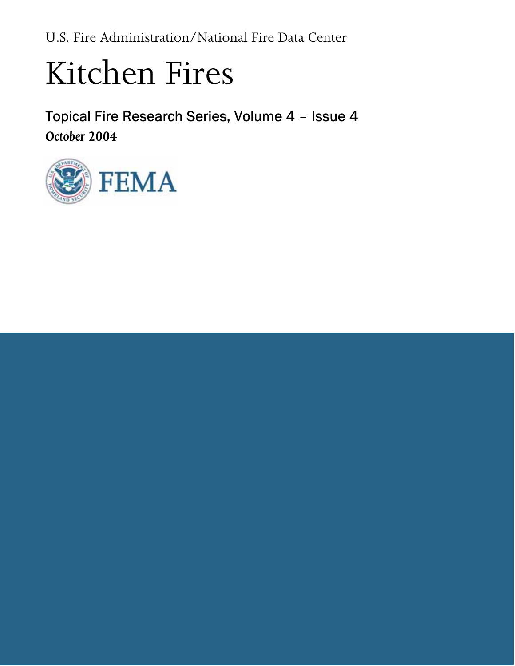<span id="page-0-0"></span>U.S. Fire Administration/National Fire Data Center

# Kitchen Fires

Topical Fire Research Series, Volume 4 – Issue 4 October 2004

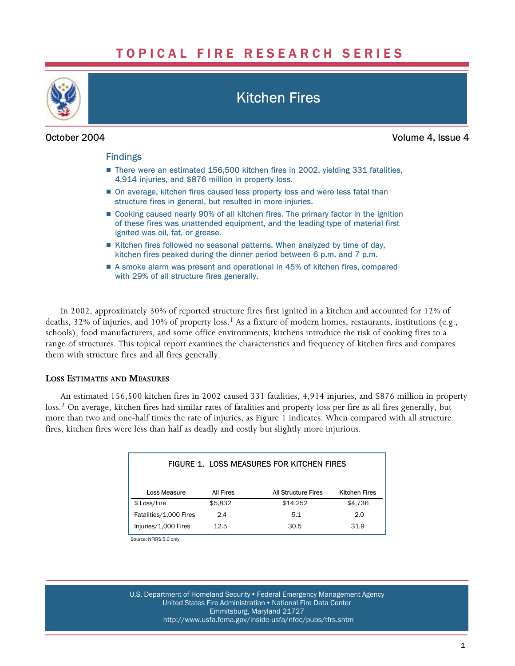# TOPICAL FIRE RESEARCH SERIES

<span id="page-1-0"></span>

# Kitchen Fires

# October 2004

Volume 4, Issue 4

### Findings

- There were an estimated 156,500 kitchen fires in 2002, yielding 331 fatalities, 4,914 injuries, and \$876 million in property loss.
- On average, kitchen fires caused less property loss and were less fatal than structure fires in general, but resulted in more injuries.
- Cooking caused nearly 90% of all kitchen fires. The primary factor in the ignition of these fires was unattended equipment, and the leading type of material first ignited was oil, fat, or grease.
- Kitchen fires followed no seasonal patterns. When analyzed by time of day, kitchen fires peaked during the dinner period between 6 p.m. and 7 p.m.
- A smoke alarm was present and operational in 45% of kitchen fires, compared with 29% of all structure fires generally.

In 2002, approximately 30% of reported structure fires first ignited in a kitchen and accounted for 12% of deaths, 32% of injuries, and 10% of property loss.<sup>1</sup> As a fixture of modern homes, restaurants, institutions (e.g., schools), food manufacturers, and some office environments, kitchens introduce the risk of cooking fires to a range of structures. This topical report examines the characteristics and frequency of kitchen fires and compares them with structure fires and all fires generally.

# LOSS ESTIMATES AND MEASURES

An estimated 156,500 kitchen fires in 2002 caused 331 fatalities, 4,914 injuries, and \$876 million in property loss.<sup>2</sup> On average, kitchen fires had similar rates of fatalities and property loss per fire as all fires generally, but more than two and one−half times the rate of injuries, as Figure 1 indicates. When compared with all structure fires, kitchen fires were less than half as deadly and costly but slightly more injurious.

| FIGURE 1. LOSS MEASURES FOR KITCHEN FIRES |           |                            |                      |  |
|-------------------------------------------|-----------|----------------------------|----------------------|--|
| Loss Measure                              | All Fires | <b>All Structure Fires</b> | <b>Kitchen Fires</b> |  |
| \$ Loss/Fire                              | \$5,832   | \$14,252                   | \$4,736              |  |
| Fatalities/1,000 Fires                    | 2.4       | 5.1                        | 2.0                  |  |
| Injuries/1,000 Fires                      | 12.5      | 30.5                       | 31.9                 |  |

Source: NFIRS 5.0 only

U.S. Department of Homeland Security • Federal Emergency Management Agency United States Fire Administration . National Fire Data Center Emmitsburg, Maryland 21727 [http://www.usfa.fema.gov/inside−usfa/nfdc/pubs/tfrs.shtm](http://www.usfa.fema.gov/inside%E2%88%92usfa/nfdc/pubs/tfrs.shtm)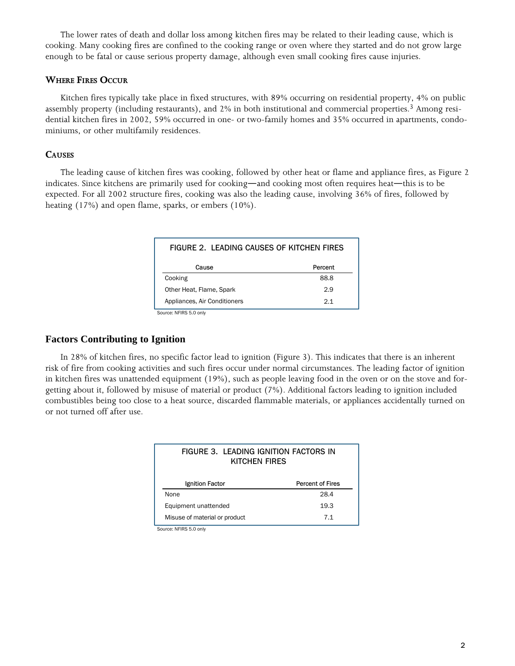<span id="page-2-0"></span>The lower rates of death and dollar loss among kitchen fires may be related to their leading cause, which is cooking. Many cooking fires are confined to the cooking range or oven where they started and do not grow large enough to be fatal or cause serious property damage, although even small cooking fires cause injuries.

### WHERE FIRES OCCUR

Kitchen fires typically take place in fixed structures, with 89% occurring on residential property, 4% on public assembly property (including restaurants), and 2% in both institutional and commercial properties.<sup>3</sup> Among residential kitchen fires in 2002, 59% occurred in one− or two−family homes and 35% occurred in apartments, condominiums, or other multifamily residences.

## **CAUSES**

The leading cause of kitchen fires was cooking, followed by other heat or flame and appliance fires, as Figure 2 indicates. Since kitchens are primarily used for cooking—and cooking most often requires heat—this is to be expected. For all 2002 structure fires, cooking was also the leading cause, involving 36% of fires, followed by heating (17%) and open flame, sparks, or embers (10%).

| FIGURE 2. LEADING CAUSES OF KITCHEN FIRES          |         |  |  |  |
|----------------------------------------------------|---------|--|--|--|
| Cause                                              | Percent |  |  |  |
| Cooking                                            | 88.8    |  |  |  |
| Other Heat, Flame, Spark                           | 2.9     |  |  |  |
| Appliances, Air Conditioners                       | 2.1     |  |  |  |
| $P_{\text{out}}$ on MEIDO E $\cap$ and $\emptyset$ |         |  |  |  |

Source: NFIRS 5.0 only

# **Factors Contributing to Ignition**

In 28% of kitchen fires, no specific factor lead to ignition (Figure 3). This indicates that there is an inherent risk of fire from cooking activities and such fires occur under normal circumstances. The leading factor of ignition in kitchen fires was unattended equipment (19%), such as people leaving food in the oven or on the stove and forgetting about it, followed by misuse of material or product (7%). Additional factors leading to ignition included combustibles being too close to a heat source, discarded flammable materials, or appliances accidentally turned on or not turned off after use.

| FIGURE 3. LEADING IGNITION FACTORS IN<br>KITCHEN FIRES |                         |  |  |
|--------------------------------------------------------|-------------------------|--|--|
| Ignition Factor                                        | <b>Percent of Fires</b> |  |  |
| <b>None</b>                                            | 28.4                    |  |  |
| Equipment unattended                                   | 19.3                    |  |  |
| Misuse of material or product                          | 71                      |  |  |

Source: NFIRS 5.0 only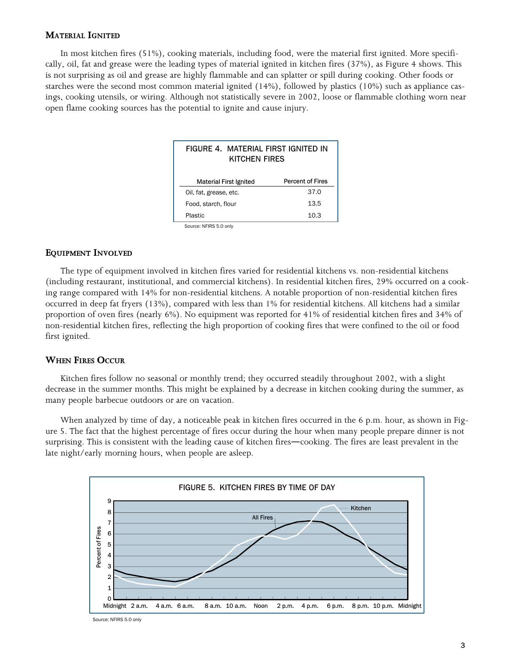#### MATERIAL IGNITED

In most kitchen fires (51%), cooking materials, including food, were the material first ignited. More specifically, oil, fat and grease were the leading types of material ignited in kitchen fires (37%), as Figure 4 shows. This is not surprising as oil and grease are highly flammable and can splatter or spill during cooking. Other foods or starches were the second most common material ignited (14%), followed by plastics (10%) such as appliance casings, cooking utensils, or wiring. Although not statistically severe in 2002, loose or flammable clothing worn near open flame cooking sources has the potential to ignite and cause injury.

| FIGURE 4. MATERIAL FIRST IGNITED IN<br>KITCHEN FIRES |                         |  |  |  |
|------------------------------------------------------|-------------------------|--|--|--|
| Material First Ignited                               | <b>Percent of Fires</b> |  |  |  |
| Oil, fat, grease, etc.                               | 37.0                    |  |  |  |
| Food, starch, flour                                  | 13.5                    |  |  |  |
| Plastic                                              | 10.3                    |  |  |  |
| Source: NFIRS 5.0 only                               |                         |  |  |  |

#### EQUIPMENT INVOLVED

The type of equipment involved in kitchen fires varied for residential kitchens vs. non−residential kitchens (including restaurant, institutional, and commercial kitchens). In residential kitchen fires, 29% occurred on a cooking range compared with 14% for non−residential kitchens. A notable proportion of non−residential kitchen fires occurred in deep fat fryers (13%), compared with less than 1% for residential kitchens. All kitchens had a similar proportion of oven fires (nearly 6%). No equipment was reported for 41% of residential kitchen fires and 34% of non−residential kitchen fires, reflecting the high proportion of cooking fires that were confined to the oil or food first ignited.

#### WHEN FIRES OCCUR

Kitchen fires follow no seasonal or monthly trend; they occurred steadily throughout 2002, with a slight decrease in the summer months. This might be explained by a decrease in kitchen cooking during the summer, as many people barbecue outdoors or are on vacation.

When analyzed by time of day, a noticeable peak in kitchen fires occurred in the 6 p.m. hour, as shown in Figure 5. The fact that the highest percentage of fires occur during the hour when many people prepare dinner is not surprising. This is consistent with the leading cause of kitchen fires—cooking. The fires are least prevalent in the late night/early morning hours, when people are asleep.



Source: NFIRS 5.0 only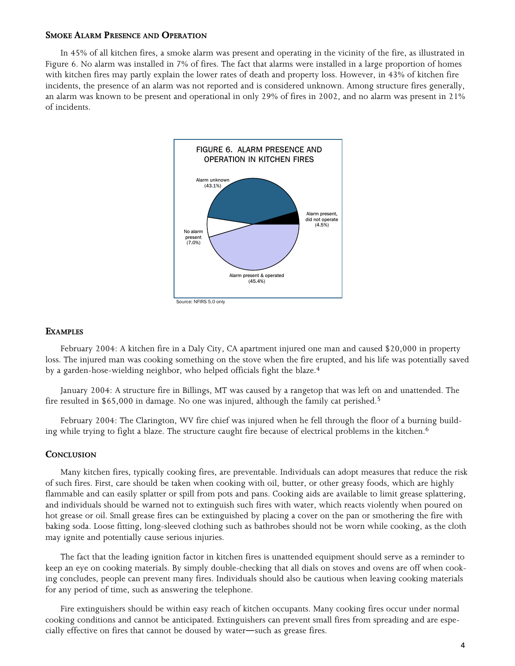#### SMOKE ALARM PRESENCE AND OPERATION

In 45% of all kitchen fires, a smoke alarm was present and operating in the vicinity of the fire, as illustrated in Figure 6. No alarm was installed in 7% of fires. The fact that alarms were installed in a large proportion of homes with kitchen fires may partly explain the lower rates of death and property loss. However, in 43% of kitchen fire incidents, the presence of an alarm was not reported and is considered unknown. Among structure fires generally, an alarm was known to be present and operational in only 29% of fires in 2002, and no alarm was present in 21% of incidents.



#### **EXAMPLES**

February 2004: A kitchen fire in a Daly City, CA apartment injured one man and caused \$20,000 in property loss. The injured man was cooking something on the stove when the fire erupted, and his life was potentially saved by a garden−hose−wielding neighbor, who helped officials fight the blaze.4

January 2004: A structure fire in Billings, MT was caused by a rangetop that was left on and unattended. The fire resulted in \$65,000 in damage. No one was injured, although the family cat perished.<sup>5</sup>

February 2004: The Clarington, WV fire chief was injured when he fell through the floor of a burning building while trying to fight a blaze. The structure caught fire because of electrical problems in the kitchen.<sup>6</sup>

#### **CONCLUSION**

Many kitchen fires, typically cooking fires, are preventable. Individuals can adopt measures that reduce the risk of such fires. First, care should be taken when cooking with oil, butter, or other greasy foods, which are highly flammable and can easily splatter or spill from pots and pans. Cooking aids are available to limit grease splattering, and individuals should be warned not to extinguish such fires with water, which reacts violently when poured on hot grease or oil. Small grease fires can be extinguished by placing a cover on the pan or smothering the fire with baking soda. Loose fitting, long−sleeved clothing such as bathrobes should not be worn while cooking, as the cloth may ignite and potentially cause serious injuries.

The fact that the leading ignition factor in kitchen fires is unattended equipment should serve as a reminder to keep an eye on cooking materials. By simply double−checking that all dials on stoves and ovens are off when cooking concludes, people can prevent many fires. Individuals should also be cautious when leaving cooking materials for any period of time, such as answering the telephone.

Fire extinguishers should be within easy reach of kitchen occupants. Many cooking fires occur under normal cooking conditions and cannot be anticipated. Extinguishers can prevent small fires from spreading and are especially effective on fires that cannot be doused by water—such as grease fires.